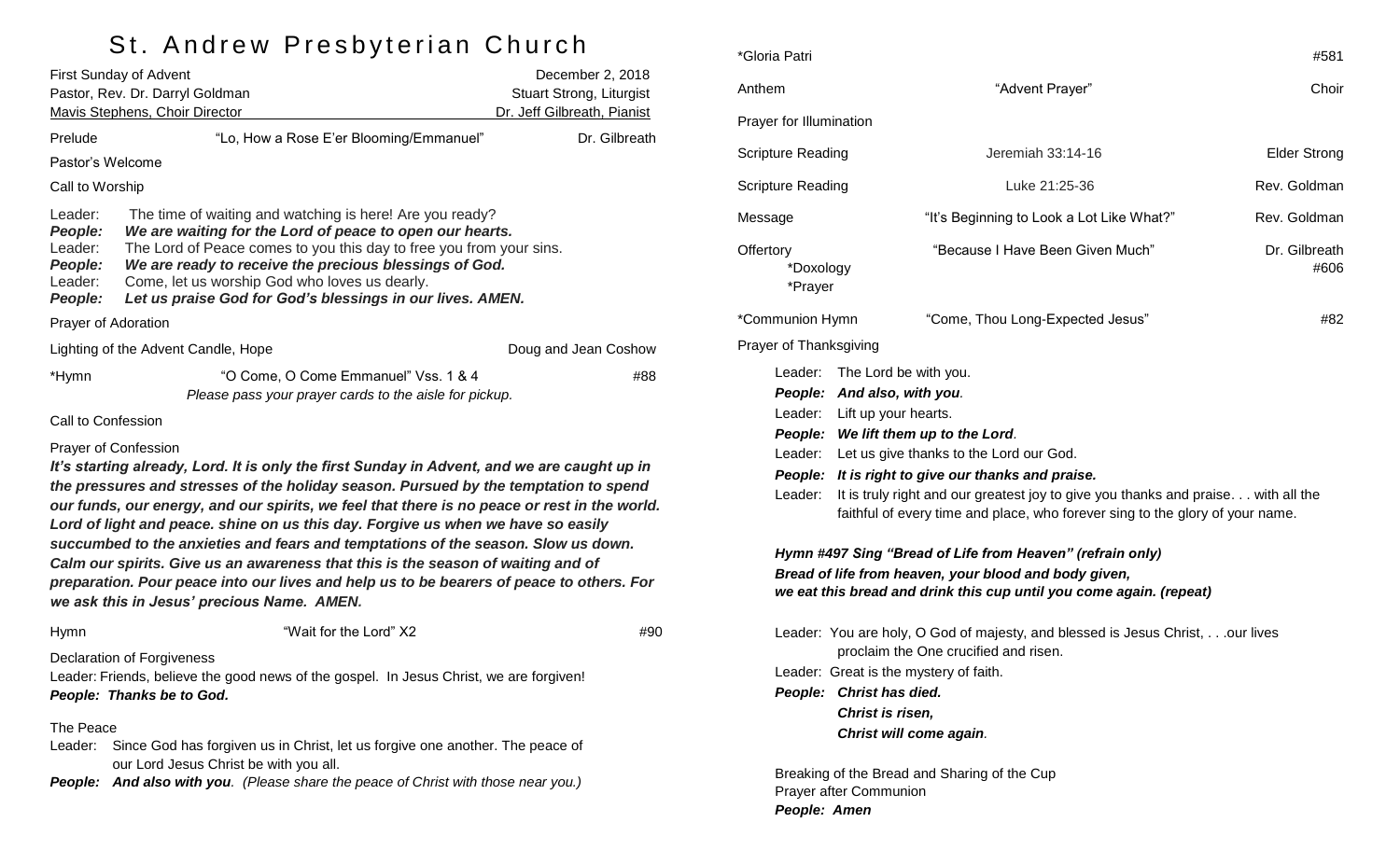# St. Andrew Presbyterian Church

| <b>First Sunday of Advent</b>                                  |                                                                                                                                                                                                                                                                                                                                                                                                                                                                                                                                                                                                                                                                                                                    | December 2, 2018            |  |
|----------------------------------------------------------------|--------------------------------------------------------------------------------------------------------------------------------------------------------------------------------------------------------------------------------------------------------------------------------------------------------------------------------------------------------------------------------------------------------------------------------------------------------------------------------------------------------------------------------------------------------------------------------------------------------------------------------------------------------------------------------------------------------------------|-----------------------------|--|
| Pastor, Rev. Dr. Darryl Goldman                                |                                                                                                                                                                                                                                                                                                                                                                                                                                                                                                                                                                                                                                                                                                                    | Stuart Strong, Liturgist    |  |
|                                                                | Mavis Stephens, Choir Director                                                                                                                                                                                                                                                                                                                                                                                                                                                                                                                                                                                                                                                                                     | Dr. Jeff Gilbreath, Pianist |  |
| Prelude                                                        | "Lo, How a Rose E'er Blooming/Emmanuel"                                                                                                                                                                                                                                                                                                                                                                                                                                                                                                                                                                                                                                                                            | Dr. Gilbreath               |  |
| Pastor's Welcome                                               |                                                                                                                                                                                                                                                                                                                                                                                                                                                                                                                                                                                                                                                                                                                    |                             |  |
| Call to Worship                                                |                                                                                                                                                                                                                                                                                                                                                                                                                                                                                                                                                                                                                                                                                                                    |                             |  |
| Leader:<br>People:<br>Leader:<br>People:<br>Leader:<br>People: | The time of waiting and watching is here! Are you ready?<br>We are waiting for the Lord of peace to open our hearts.<br>The Lord of Peace comes to you this day to free you from your sins.<br>We are ready to receive the precious blessings of God.<br>Come, let us worship God who loves us dearly.<br>Let us praise God for God's blessings in our lives. AMEN.                                                                                                                                                                                                                                                                                                                                                |                             |  |
| Prayer of Adoration                                            |                                                                                                                                                                                                                                                                                                                                                                                                                                                                                                                                                                                                                                                                                                                    |                             |  |
|                                                                | Lighting of the Advent Candle, Hope                                                                                                                                                                                                                                                                                                                                                                                                                                                                                                                                                                                                                                                                                | Doug and Jean Coshow        |  |
| *Hymn                                                          | "O Come, O Come Emmanuel" Vss. 1 & 4<br>Please pass your prayer cards to the aisle for pickup.                                                                                                                                                                                                                                                                                                                                                                                                                                                                                                                                                                                                                     | #88                         |  |
| Call to Confession                                             |                                                                                                                                                                                                                                                                                                                                                                                                                                                                                                                                                                                                                                                                                                                    |                             |  |
|                                                                | Prayer of Confession<br>It's starting already, Lord. It is only the first Sunday in Advent, and we are caught up in<br>the pressures and stresses of the holiday season. Pursued by the temptation to spend<br>our funds, our energy, and our spirits, we feel that there is no peace or rest in the world.<br>Lord of light and peace. shine on us this day. Forgive us when we have so easily<br>succumbed to the anxieties and fears and temptations of the season. Slow us down.<br>Calm our spirits. Give us an awareness that this is the season of waiting and of<br>preparation. Pour peace into our lives and help us to be bearers of peace to others. For<br>we ask this in Jesus' precious Name. AMEN. |                             |  |
| Hymn                                                           | "Wait for the Lord" X2                                                                                                                                                                                                                                                                                                                                                                                                                                                                                                                                                                                                                                                                                             | #90                         |  |
|                                                                | Declaration of Forgiveness<br>Leader: Friends, believe the good news of the gospel. In Jesus Christ, we are forgiven!<br>People: Thanks be to God.                                                                                                                                                                                                                                                                                                                                                                                                                                                                                                                                                                 |                             |  |
| The Peace<br>Leader:                                           | Since God has forgiven us in Christ, let us forgive one another. The peace of<br>our Lord Jesus Christ be with you all.<br>People: And also with you. (Please share the peace of Christ with those near you.)                                                                                                                                                                                                                                                                                                                                                                                                                                                                                                      |                             |  |

| *Gloria Patri                     |                                                                                                                                                                                                                                                                                                                                                                                                             | #581                  |  |  |  |
|-----------------------------------|-------------------------------------------------------------------------------------------------------------------------------------------------------------------------------------------------------------------------------------------------------------------------------------------------------------------------------------------------------------------------------------------------------------|-----------------------|--|--|--|
| Anthem                            | "Advent Prayer"                                                                                                                                                                                                                                                                                                                                                                                             | Choir                 |  |  |  |
| Prayer for Illumination           |                                                                                                                                                                                                                                                                                                                                                                                                             |                       |  |  |  |
| Scripture Reading                 | Jeremiah 33:14-16                                                                                                                                                                                                                                                                                                                                                                                           | <b>Elder Strong</b>   |  |  |  |
| Scripture Reading                 | Luke 21:25-36                                                                                                                                                                                                                                                                                                                                                                                               | Rev. Goldman          |  |  |  |
| Message                           | "It's Beginning to Look a Lot Like What?"                                                                                                                                                                                                                                                                                                                                                                   | Rev. Goldman          |  |  |  |
| Offertory<br>*Doxology<br>*Prayer | "Because I Have Been Given Much"                                                                                                                                                                                                                                                                                                                                                                            | Dr. Gilbreath<br>#606 |  |  |  |
| *Communion Hymn                   | "Come, Thou Long-Expected Jesus"                                                                                                                                                                                                                                                                                                                                                                            | #82                   |  |  |  |
| Prayer of Thanksgiving            |                                                                                                                                                                                                                                                                                                                                                                                                             |                       |  |  |  |
| Leader:<br>Leader:                | The Lord be with you.<br>People: And also, with you.<br>Leader: Lift up your hearts.<br>People: We lift them up to the Lord.<br>Leader: Let us give thanks to the Lord our God.<br>People: It is right to give our thanks and praise.<br>It is truly right and our greatest joy to give you thanks and praise with all the<br>faithful of every time and place, who forever sing to the glory of your name. |                       |  |  |  |
|                                   | Hymn #497 Sing "Bread of Life from Heaven" (refrain only)<br>Bread of life from heaven, your blood and body given,<br>we eat this bread and drink this cup until you come again. (repeat)                                                                                                                                                                                                                   |                       |  |  |  |
|                                   | Leader: You are holy, O God of majesty, and blessed is Jesus Christ,our lives<br>proclaim the One crucified and risen.                                                                                                                                                                                                                                                                                      |                       |  |  |  |
|                                   | Leader: Great is the mystery of faith.                                                                                                                                                                                                                                                                                                                                                                      |                       |  |  |  |
|                                   | People: Christ has died.                                                                                                                                                                                                                                                                                                                                                                                    |                       |  |  |  |
|                                   | Christ is risen,<br>Christ will come again.                                                                                                                                                                                                                                                                                                                                                                 |                       |  |  |  |
|                                   | Breaking of the Bread and Sharing of the Cup                                                                                                                                                                                                                                                                                                                                                                |                       |  |  |  |

Prayer after Communion

*People: Amen*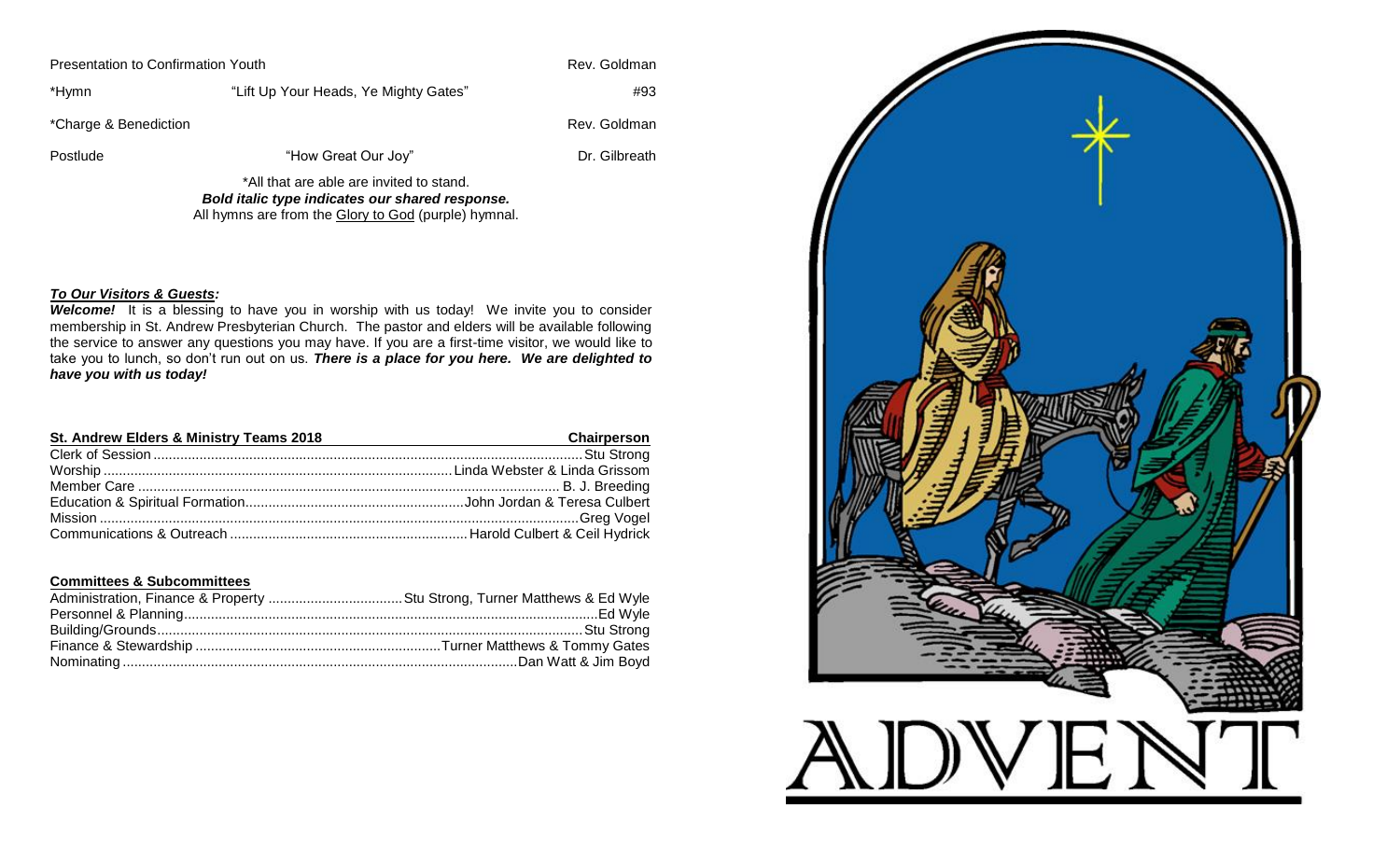| Presentation to Confirmation Youth | Rev. Goldman                             |               |
|------------------------------------|------------------------------------------|---------------|
| *Hymn                              | "Lift Up Your Heads, Ye Mighty Gates"    | #93           |
| *Charge & Benediction              |                                          | Rev. Goldman  |
| Postlude                           | "How Great Our Joy"                      | Dr. Gilbreath |
|                                    | *All that are able are invited to stand. |               |

*Bold italic type indicates our shared response.* All hymns are from the Glory to God (purple) hymnal.

#### *To Our Visitors & Guests:*

*Welcome!* It is a blessing to have you in worship with us today! We invite you to consider membership in St. Andrew Presbyterian Church. The pastor and elders will be available following the service to answer any questions you may have. If you are a first-time visitor, we would like to take you to lunch, so don't run out on us. *There is a place for you here. We are delighted to have you with us today!*

| St. Andrew Elders & Ministry Teams 2018 | Chairperson |
|-----------------------------------------|-------------|
|                                         |             |
|                                         |             |
|                                         |             |
|                                         |             |
|                                         |             |
|                                         |             |

#### **Committees & Subcommittees**

| Administration, Finance & Property Stu Strong, Turner Matthews & Ed Wyle |  |
|--------------------------------------------------------------------------|--|
|                                                                          |  |
|                                                                          |  |
|                                                                          |  |
|                                                                          |  |